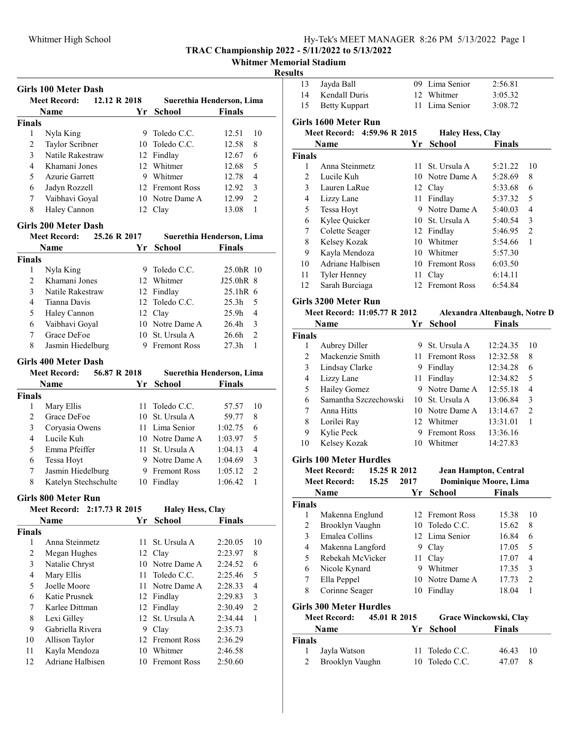Whitmer Memorial Stadium

### Results

|                | <b>Girls 100 Meter Dash</b>           |      |                         |                           |  |
|----------------|---------------------------------------|------|-------------------------|---------------------------|--|
|                | <b>Meet Record:</b><br>12.12 R 2018   |      |                         | Suerethia Henderson, Lima |  |
|                | Name                                  | Yr - | <b>School</b>           | <b>Finals</b>             |  |
| <b>Finals</b>  |                                       |      |                         |                           |  |
| 1              | Nyla King                             |      | 9 Toledo C.C.           | 10<br>12.51               |  |
| 2              | Taylor Scribner                       |      | 10 Toledo C.C.          | 8<br>12.58                |  |
| 3              | Natile Rakestraw                      |      | 12 Findlay              | 6<br>12.67                |  |
| $\overline{4}$ | Khamani Jones                         |      | 12 Whitmer              | 5<br>12.68                |  |
| 5              | Azurie Garrett                        |      | 9 Whitmer               | 4<br>12.78                |  |
| 6              | Jadyn Rozzell                         |      | 12 Fremont Ross         | 3<br>12.92                |  |
| 7              | Vaibhavi Goyal                        |      | 10 Notre Dame A         | $\overline{2}$<br>12.99   |  |
| 8              | Haley Cannon                          |      | 12 Clay                 | 1<br>13.08                |  |
|                | <b>Girls 200 Meter Dash</b>           |      |                         |                           |  |
|                | 25.26 R 2017<br><b>Meet Record:</b>   |      |                         | Suerethia Henderson, Lima |  |
|                | Name                                  | Yr   | <b>School</b>           | <b>Finals</b>             |  |
| <b>Finals</b>  |                                       |      |                         |                           |  |
| 1              | Nyla King                             | 9.   | Toledo C.C.             | 25.0hR 10                 |  |
| 2              | Khamani Jones                         | 12   | Whitmer                 | J25.0hR 8                 |  |
| 3              | Natile Rakestraw                      |      | 12 Findlay              | 25.1hR 6                  |  |
| $\overline{4}$ | Tianna Davis                          |      | 12 Toledo C.C.          | 25.3 <sub>h</sub><br>5    |  |
| 5              | Haley Cannon                          |      | 12 Clay                 | 4<br>25.9h                |  |
| 6              | Vaibhavi Goyal                        |      | 10 Notre Dame A         | 3<br>26.4h                |  |
| 7              | Grace DeFoe                           | 10   | St. Ursula A            | $\overline{2}$<br>26.6h   |  |
| 8              | Jasmin Hiedelburg                     | 9.   | <b>Fremont Ross</b>     | 27.3 <sub>h</sub><br>1    |  |
|                |                                       |      |                         |                           |  |
|                | <b>Girls 400 Meter Dash</b>           |      |                         |                           |  |
|                | <b>Meet Record:</b><br>56.87 R 2018   |      |                         | Suerethia Henderson, Lima |  |
|                | <b>Name</b>                           | Yr - | <b>School</b>           | <b>Finals</b>             |  |
| <b>Finals</b>  |                                       |      |                         |                           |  |
| 1              | Mary Ellis                            | 11   | Toledo C.C.             | 10<br>57.57               |  |
| 2              | Grace DeFoe                           | 10   | St. Ursula A            | 59.77<br>8                |  |
| 3              | Coryasia Owens                        | 11 - | Lima Senior             | 1:02.75<br>6              |  |
| 4              | Lucile Kuh                            |      | 10 Notre Dame A         | 5<br>1:03.97              |  |
| 5              | Emma Pfeiffer                         | 11   | St. Ursula A            | $\overline{4}$<br>1:04.13 |  |
| 6              | Tessa Hoyt                            |      | 9 Notre Dame A          | 3<br>1:04.69              |  |
| 7              | Jasmin Hiedelburg                     |      | 9 Fremont Ross          | $\overline{c}$<br>1:05.12 |  |
| 8              | Katelyn Stechschulte                  |      | 10 Findlay              | 1<br>1:06.42              |  |
|                | <b>Girls 800 Meter Run</b>            |      |                         |                           |  |
|                | 2:17.73 R 2015<br><b>Meet Record:</b> |      | <b>Haley Hess, Clay</b> |                           |  |
|                | <b>Name</b>                           | Yr   | <b>School</b>           | <b>Finals</b>             |  |
| <b>Finals</b>  |                                       |      |                         |                           |  |
| 1              | Anna Steinmetz                        | 11   | St. Ursula A            | 10<br>2:20.05             |  |
| 2              | Megan Hughes                          | 12   | Clay                    | 8<br>2:23.97              |  |
| 3              | Natalie Chryst                        | 10   | Notre Dame A            | 2:24.52<br>6              |  |
| 4              | Mary Ellis                            | 11   | Toledo C.C.             | 5<br>2:25.46              |  |
| 5              | Joelle Moore                          | 11   | Notre Dame A            | $\overline{4}$<br>2:28.33 |  |
| 6              | Katie Prusnek                         |      | 12 Findlay              | 3<br>2:29.83              |  |
| 7              | Karlee Dittman                        | 12   | Findlay                 | $\overline{c}$<br>2:30.49 |  |
| 8              | Lexi Gilley                           | 12   | St. Ursula A            | $\mathbf{1}$<br>2:34.44   |  |
| 9              | Gabriella Rivera                      |      | 9 Clay                  | 2:35.73                   |  |
| 10             | Allison Taylor                        |      | 12 Fremont Ross         | 2:36.29                   |  |
| 11             | Kayla Mendoza                         |      | 10 Whitmer              | 2:46.58                   |  |
| 12             | Adriane Halbisen                      |      | 10 Fremont Ross         | 2:50.60                   |  |
|                |                                       |      |                         |                           |  |

| 13             | Jayda Ball                          |      | 09 Lima Senior                | 2:56.81       |                |
|----------------|-------------------------------------|------|-------------------------------|---------------|----------------|
| 14             | Kendall Duris                       |      | 12 Whitmer                    | 3:05.32       |                |
| 15             | <b>Betty Kuppart</b>                |      | 11 Lima Senior                | 3:08.72       |                |
|                | Girls 1600 Meter Run                |      |                               |               |                |
|                | 4:59.96 R 2015<br>Meet Record:      |      | <b>Haley Hess, Clay</b>       |               |                |
|                | Name                                | Yr.  | School                        | <b>Finals</b> |                |
| <b>Finals</b>  |                                     |      |                               |               |                |
| 1              | Anna Steinmetz                      | 11 - | St. Ursula A                  | 5:21.22       | 10             |
| 2              | Lucile Kuh                          |      | 10 Notre Dame A               | 5:28.69       | 8              |
| 3              | Lauren LaRue                        |      | 12 Clay                       | 5:33.68       | 6              |
| 4              | Lizzy Lane                          |      | 11 Findlay                    | 5:37.32       | 5              |
| 5              | Tessa Hoyt                          |      | 9 Notre Dame A                | 5:40.03       | 4              |
| 6              | Kylee Quicker                       |      | 10 St. Ursula A               | 5:40.54       | 3              |
| 7              | Colette Seager                      |      | 12 Findlay                    | 5:46.95       | $\overline{2}$ |
| $\,$ $\,$      | Kelsey Kozak                        |      | 10 Whitmer                    | 5:54.66       | 1              |
| 9              | Kayla Mendoza                       |      | 10 Whitmer                    | 5:57.30       |                |
| 10             | Adriane Halbisen                    |      | 10 Fremont Ross               | 6:03.50       |                |
| 11             | Tyler Henney                        |      | 11 Clay                       | 6:14.11       |                |
| 12             | Sarah Burciaga                      |      | 12 Fremont Ross               | 6:54.84       |                |
|                |                                     |      |                               |               |                |
|                | Girls 3200 Meter Run                |      |                               |               |                |
|                | Meet Record: 11:05.77 R 2012        |      | Alexandra Altenbaugh, Notre D |               |                |
|                | Name                                | Yr   | <b>School</b>                 | <b>Finals</b> |                |
| <b>Finals</b>  |                                     |      |                               |               |                |
| 1              | <b>Aubrey Diller</b>                |      | 9 St. Ursula A                | 12:24.35      | 10             |
| $\overline{c}$ | Mackenzie Smith                     |      | 11 Fremont Ross               | 12:32.58      | 8              |
| 3              | Lindsay Clarke                      |      | 9 Findlay                     | 12:34.28      | 6              |
| 4              | Lizzy Lane                          |      | 11 Findlay                    | 12:34.82      | 5              |
| 5              | <b>Hailey Gomez</b>                 |      | 9 Notre Dame A                | 12:55.18      | 4              |
| 6              | Samantha Szczechowski               |      | 10 St. Ursula A               | 13:06.84      | 3              |
| 7              | Anna Hitts                          |      | 10 Notre Dame A               | 13:14.67      | 2              |
| 8              | Lorilei Ray                         |      | 12 Whitmer                    | 13:31.01      | 1              |
| 9              | Kylie Peck                          |      | 9 Fremont Ross                | 13:36.16      |                |
| 10             | Kelsey Kozak                        |      | 10 Whitmer                    | 14:27.83      |                |
|                | <b>Girls 100 Meter Hurdles</b>      |      |                               |               |                |
|                | <b>Meet Record:</b><br>15.25 R 2012 |      | Jean Hampton, Central         |               |                |
|                | <b>Meet Record:</b><br>15.25        | 2017 | <b>Dominique Moore, Lima</b>  |               |                |
|                | Name                                | Yr   | <b>School</b>                 | <b>Finals</b> |                |
| Finals         |                                     |      |                               |               |                |
| 1              | Makenna Englund                     |      | 12 Fremont Ross               | 15.38         | 10             |
| $\overline{c}$ | Brooklyn Vaughn                     |      | 10 Toledo C.C.                | 15.62         | 8              |
| 3              | Emalea Collins                      |      | 12 Lima Senior                | 16.84         | 6              |
| $\overline{4}$ | Makenna Langford                    |      | 9 Clay                        | 17.05         | 5              |
| 5              | Rebekah McVicker                    | 11 - | Clay                          | 17.07         | $\overline{4}$ |
| 6              | Nicole Kynard                       |      | 9 Whitmer                     | 17.35         | 3              |
| 7              | Ella Peppel                         |      | 10 Notre Dame A               | 17.73         | 2              |
| 8              | Corinne Seager                      |      | 10 Findlay                    | 18.04         | 1              |
|                |                                     |      |                               |               |                |
|                | <b>Girls 300 Meter Hurdles</b>      |      |                               |               |                |
|                | <b>Meet Record:</b><br>45.01 R 2015 |      | Grace Winckowski, Clay        |               |                |
|                | Name                                | Yr   | <b>School</b>                 | <b>Finals</b> |                |
| <b>Finals</b>  |                                     |      |                               |               |                |
| 1              | Jayla Watson                        | 11   | Toledo C.C.                   | 46.43         | 10             |
| 2              | Brooklyn Vaughn                     | 10   | Toledo C.C.                   | 47.07         | 8              |
|                |                                     |      |                               |               |                |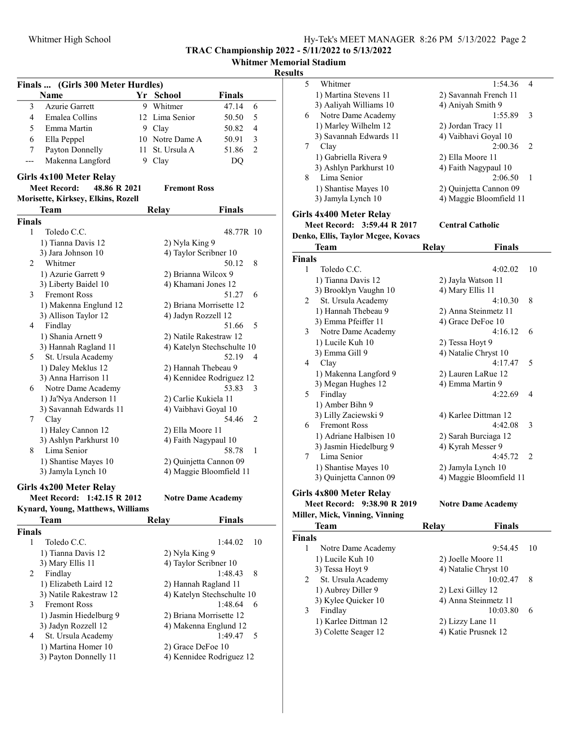Whitmer Memorial Stadium

### Result

| Finals  (Girls 300 Meter Hurdles) |                                     |      |                           |                            |  |
|-----------------------------------|-------------------------------------|------|---------------------------|----------------------------|--|
|                                   | Name                                |      | Yr School                 | <b>Finals</b>              |  |
| 3                                 | <b>Azurie Garrett</b>               |      | 9 Whitmer                 | 47.14<br>6                 |  |
| 4                                 | Emalea Collins                      |      | 12 Lima Senior            | 50.50<br>5                 |  |
| 5                                 | Emma Martin                         |      | 9 Clay                    | 50.82<br>4                 |  |
| 6                                 | Ella Peppel                         |      | 10 Notre Dame A           | 3<br>50.91                 |  |
| 7                                 | Payton Donnelly                     | 11 - | St. Ursula A              | 2<br>51.86                 |  |
| ---                               | Makenna Langford                    | 9.   | Clay                      | DQ                         |  |
|                                   |                                     |      |                           |                            |  |
|                                   | Girls 4x100 Meter Relay             |      |                           |                            |  |
|                                   | <b>Meet Record:</b><br>48.86 R 2021 |      | <b>Fremont Ross</b>       |                            |  |
|                                   | Morisette, Kirksey, Elkins, Rozell  |      |                           |                            |  |
|                                   | Team                                |      | Relay                     | <b>Finals</b>              |  |
| <b>Finals</b>                     |                                     |      |                           |                            |  |
| $\mathbf{1}$                      | Toledo C.C.                         |      |                           | 48.77R 10                  |  |
|                                   | 1) Tianna Davis 12                  |      | 2) Nyla King 9            |                            |  |
|                                   | 3) Jara Johnson 10                  |      | 4) Taylor Scribner 10     |                            |  |
| 2                                 | Whitmer                             |      |                           | 50.12<br>8                 |  |
|                                   | 1) Azurie Garrett 9                 |      | 2) Brianna Wilcox 9       |                            |  |
|                                   | 3) Liberty Baidel 10                |      | 4) Khamani Jones 12       |                            |  |
| 3                                 | <b>Fremont Ross</b>                 |      |                           | 51.27<br>6                 |  |
|                                   | 1) Makenna Englund 12               |      | 2) Briana Morrisette 12   |                            |  |
|                                   | 3) Allison Taylor 12                |      | 4) Jadyn Rozzell 12       |                            |  |
| 4                                 | Findlay                             |      |                           | 51.66<br>5                 |  |
|                                   | 1) Shania Arnett 9                  |      | 2) Natile Rakestraw 12    |                            |  |
|                                   | 3) Hannah Ragland 11                |      |                           | 4) Katelyn Stechschulte 10 |  |
| 5                                 | St. Ursula Academy                  |      |                           | 52.19<br>4                 |  |
|                                   | 1) Daley Meklus 12                  |      | 2) Hannah Thebeau 9       |                            |  |
|                                   | 3) Anna Harrison 11                 |      |                           | 4) Kennidee Rodriguez 12   |  |
| 6                                 | Notre Dame Academy                  |      |                           | 53.83<br>3                 |  |
|                                   | 1) Ja'Nya Anderson 11               |      | 2) Carlie Kukiela 11      |                            |  |
|                                   | 3) Savannah Edwards 11              |      | 4) Vaibhavi Goyal 10      |                            |  |
| 7.                                | Clay                                |      |                           | 54.46<br>2                 |  |
|                                   | 1) Haley Cannon 12                  |      | 2) Ella Moore 11          |                            |  |
|                                   | 3) Ashlyn Parkhurst 10              |      | 4) Faith Nagypaul 10      |                            |  |
| 8.                                | Lima Senior                         |      |                           | 58.78<br>1                 |  |
|                                   | 1) Shantise Mayes 10                |      | 2) Quinjetta Cannon 09    |                            |  |
|                                   | 3) Jamyla Lynch 10                  |      | 4) Maggie Bloomfield 11   |                            |  |
|                                   |                                     |      |                           |                            |  |
|                                   | Girls 4x200 Meter Relay             |      |                           |                            |  |
|                                   | Meet Record: 1:42.15 R 2012         |      | <b>Notre Dame Academy</b> |                            |  |
|                                   | Kynard, Young, Matthews, Williams   |      |                           |                            |  |
|                                   | Team                                |      | Relay                     | <b>Finals</b>              |  |
| <b>Finals</b>                     |                                     |      |                           |                            |  |
| 1                                 | Toledo C.C.                         |      |                           | 1:44.02<br>10              |  |
|                                   | 1) Tianna Davis 12                  |      | 2) Nyla King 9            |                            |  |
|                                   | 3) Mary Ellis 11                    |      | 4) Taylor Scribner 10     |                            |  |
| 2                                 | Findlay                             |      |                           | 1:48.43<br>8               |  |
|                                   | 1) Elizabeth Laird 12               |      | 2) Hannah Ragland 11      |                            |  |
|                                   | 3) Natile Rakestraw 12              |      |                           | 4) Katelyn Stechschulte 10 |  |
| 3                                 | Fremont Ross                        |      |                           | 1:48.64<br>6               |  |
|                                   | 1) Jasmin Hiedelburg 9              |      | 2) Briana Morrisette 12   |                            |  |
|                                   | 3) Jadyn Rozzell 12                 |      | 4) Makenna Englund 12     |                            |  |
| 4                                 | St. Ursula Academy                  |      |                           | 1:49.47<br>5               |  |
|                                   | 1) Martina Homer 10                 |      | 2) Grace DeFoe 10         |                            |  |
|                                   | 3) Payton Donnelly 11               |      |                           | 4) Kennidee Rodriguez 12   |  |
|                                   |                                     |      |                           |                            |  |

| llts |        |                                                |                  |                                               |    |
|------|--------|------------------------------------------------|------------------|-----------------------------------------------|----|
|      | 5      | Whitmer                                        |                  | 1:54.36                                       | 4  |
|      |        | 1) Martina Stevens 11                          |                  | 2) Savannah French 11                         |    |
|      |        | 3) Aaliyah Williams 10                         |                  | 4) Aniyah Smith 9                             |    |
|      | 6      | Notre Dame Academy                             |                  | 1:55.89                                       | 3  |
|      |        | 1) Marley Wilhelm 12                           |                  | 2) Jordan Tracy 11                            |    |
|      |        | 3) Savannah Edwards 11                         |                  | 4) Vaibhavi Goyal 10                          |    |
|      | 7      | Clay                                           |                  | 2:00.36                                       | 2  |
|      |        | 1) Gabriella Rivera 9                          |                  | 2) Ella Moore 11                              |    |
|      |        | 3) Ashlyn Parkhurst 10                         |                  | 4) Faith Nagypaul 10                          |    |
|      | 8      | Lima Senior                                    |                  | 2:06.50                                       | 1  |
|      |        | 1) Shantise Mayes 10                           |                  | 2) Quinjetta Cannon 09                        |    |
|      |        | 3) Jamyla Lynch 10                             |                  | 4) Maggie Bloomfield 11                       |    |
|      |        |                                                |                  |                                               |    |
|      |        | <b>Girls 4x400 Meter Relay</b>                 |                  |                                               |    |
|      |        | Meet Record: 3:59.44 R 2017                    |                  | <b>Central Catholic</b>                       |    |
|      |        | Denko, Ellis, Taylor Mcgee, Kovacs             |                  |                                               |    |
|      |        | <b>Team</b>                                    | Relay            | Finals                                        |    |
|      | Finals |                                                |                  |                                               |    |
|      | 1      | Toledo C.C.                                    |                  | 4:02.02                                       | 10 |
|      |        | 1) Tianna Davis 12                             |                  | 2) Jayla Watson 11                            |    |
|      |        | 3) Brooklyn Vaughn 10                          | 4) Mary Ellis 11 |                                               |    |
|      | 2      | St. Ursula Academy                             |                  | 4:10.30                                       | 8  |
|      |        | 1) Hannah Thebeau 9                            |                  | 2) Anna Steinmetz 11                          |    |
|      |        | 3) Emma Pfeiffer 11                            |                  | 4) Grace DeFoe 10                             |    |
|      | 3      | Notre Dame Academy                             |                  | 4:16.12                                       | 6  |
|      |        | 1) Lucile Kuh 10                               | 2) Tessa Hoyt 9  |                                               |    |
|      |        | 3) Emma Gill 9                                 |                  | 4) Natalie Chryst 10                          |    |
|      | 4      | Clay                                           |                  | 4:17.47                                       | 5  |
|      |        | 1) Makenna Langford 9                          |                  | 2) Lauren LaRue 12                            |    |
|      |        | 3) Megan Hughes 12                             |                  | 4) Emma Martin 9                              |    |
|      | 5      | Findlay                                        |                  | 4:22.69                                       | 4  |
|      |        | 1) Amber Bihn 9                                |                  |                                               |    |
|      |        | 3) Lilly Zaciewski 9                           |                  | 4) Karlee Dittman 12                          |    |
|      | 6      | <b>Fremont Ross</b>                            |                  | 4:42.08                                       | 3  |
|      |        | 1) Adriane Halbisen 10                         |                  |                                               |    |
|      |        | 3) Jasmin Hiedelburg 9                         |                  | 2) Sarah Burciaga 12<br>4) Kyrah Messer 9     |    |
|      | 7      | Lima Senior                                    |                  | 4:45.72                                       | 2  |
|      |        |                                                |                  |                                               |    |
|      |        | 1) Shantise Mayes 10<br>3) Quinjetta Cannon 09 |                  | 2) Jamyla Lynch 10<br>4) Maggie Bloomfield 11 |    |
|      |        |                                                |                  |                                               |    |
|      |        | Girls 4x800 Meter Relay                        |                  |                                               |    |
|      |        | Meet Record: 9:38.90 R 2019                    |                  | <b>Notre Dame Academy</b>                     |    |
|      |        | Miller, Mick, Vinning, Vinning                 |                  |                                               |    |
|      |        | Team                                           | Relay            | <b>Finals</b>                                 |    |
|      | Finals |                                                |                  |                                               |    |
|      | 1      | Notre Dame Academy                             |                  | 9:54.45                                       | 10 |
|      |        | 1) Lucile Kuh 10                               |                  | 2) Joelle Moore 11                            |    |
|      |        | 3) Tessa Hoyt 9                                |                  | 4) Natalie Chryst 10                          |    |
|      | 2      | St. Ursula Academy                             |                  | 10:02.47                                      | 8  |
|      |        | 1) Aubrey Diller 9                             |                  | 2) Lexi Gilley 12                             |    |
|      |        | 3) Kylee Quicker 10                            |                  | 4) Anna Steinmetz 11                          |    |
|      | 3      | Findlay                                        |                  | 10:03.80                                      | 6  |
|      |        | 1) Karlee Dittman 12                           |                  | 2) Lizzy Lane 11                              |    |
|      |        | 3) Colette Seager 12                           |                  | 4) Katie Prusnek 12                           |    |
|      |        |                                                |                  |                                               |    |
|      |        |                                                |                  |                                               |    |
|      |        |                                                |                  |                                               |    |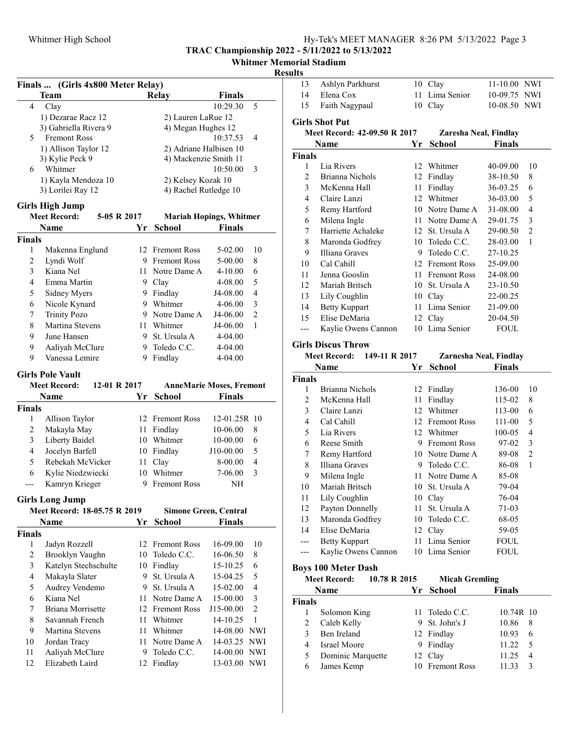# Whitmer Memorial Stadium

### Resul

| Finals  (Girls 4x800 Meter Relay) |                                     |          |                        |                                 |                |
|-----------------------------------|-------------------------------------|----------|------------------------|---------------------------------|----------------|
|                                   | Team                                |          | Relay                  | <b>Finals</b>                   |                |
| 4                                 | Clay                                |          |                        | 10:29.30                        | 5              |
|                                   | 1) Dezarae Racz 12                  |          | 2) Lauren LaRue 12     |                                 |                |
|                                   | 3) Gabriella Rivera 9               |          | 4) Megan Hughes 12     |                                 |                |
| 5                                 | <b>Fremont Ross</b>                 |          |                        | 10:37.53                        | 4              |
|                                   | 1) Allison Taylor 12                |          | 2) Adriane Halbisen 10 |                                 |                |
|                                   | 3) Kylie Peck 9                     |          | 4) Mackenzie Smith 11  |                                 |                |
| 6                                 | Whitmer                             |          |                        | 10:50.00                        | 3              |
|                                   | 1) Kayla Mendoza 10                 |          | 2) Kelsey Kozak 10     |                                 |                |
|                                   | 3) Lorilei Ray 12                   |          | 4) Rachel Rutledge 10  |                                 |                |
|                                   | <b>Girls High Jump</b>              |          |                        |                                 |                |
|                                   | <b>Meet Record:</b><br>5-05 R 2017  |          |                        | <b>Mariah Hopings, Whitmer</b>  |                |
|                                   | Name                                | Yr       | <b>School</b>          | <b>Finals</b>                   |                |
| <b>Finals</b>                     |                                     |          |                        |                                 |                |
| 1                                 | Makenna Englund                     | 12       | <b>Fremont Ross</b>    | 5-02.00                         | 10             |
| 2                                 | Lyndi Wolf                          |          | 9 Fremont Ross         | 5-00.00                         | 8              |
| 3                                 | Kiana Nel                           | 11 -     | Notre Dame A           | $4 - 10.00$                     | 6              |
| 4                                 | Emma Martin                         |          | 9 Clay                 | 4-08.00                         | 5              |
| 5                                 | Sidney Myers                        |          | 9 Findlay              | J4-08.00                        | $\overline{4}$ |
| 6                                 | Nicole Kynard                       |          | 9 Whitmer              | 4-06.00                         | 3              |
| 7                                 | <b>Trinity Pozo</b>                 |          | 9 Notre Dame A         | J4-06.00                        | $\overline{2}$ |
| 8                                 | Martina Stevens                     |          | 11 Whitmer             | J4-06.00                        | 1              |
| 9                                 | June Hansen                         |          | 9 St. Ursula A         | 4-04.00                         |                |
| 9                                 |                                     |          | 9 Toledo C.C.          | 4-04.00                         |                |
|                                   | Aaliyah McClure<br>Vanessa Lemire   |          |                        |                                 |                |
| 9                                 |                                     | 9        | Findlay                | 4-04.00                         |                |
|                                   | <b>Girls Pole Vault</b>             |          |                        |                                 |                |
|                                   |                                     |          |                        | <b>AnneMarie Moses, Fremont</b> |                |
|                                   | <b>Meet Record:</b><br>12-01 R 2017 |          |                        |                                 |                |
|                                   | Name                                | Υr       | <b>School</b>          | <b>Finals</b>                   |                |
| <b>Finals</b>                     |                                     |          |                        |                                 |                |
| 1                                 | Allison Taylor                      |          | 12 Fremont Ross        | 12-01.25R 10                    |                |
| $\overline{2}$                    | Makayla May                         |          | 11 Findlay             | 10-06.00                        | 8              |
| 3                                 | Liberty Baidel                      |          | 10 Whitmer             | 10-00.00                        | 6              |
| $\overline{4}$                    | Jocelyn Barfell                     |          | 10 Findlay             | J10-00.00                       | 5              |
| 5                                 | Rebekah McVicker                    | 11 -     | Clay                   | 8-00.00                         | 4              |
| 6                                 | Kylie Niedzwiecki                   |          | 10 Whitmer             | 7-06.00                         | 3              |
| ---                               | Kamryn Krieger                      | 9.       | <b>Fremont Ross</b>    | NΗ                              |                |
|                                   |                                     |          |                        |                                 |                |
|                                   | <b>Girls Long Jump</b>              |          |                        |                                 |                |
|                                   | Meet Record: 18-05.75 R 2019        |          |                        | <b>Simone Green, Central</b>    |                |
|                                   | <b>Name</b>                         | Yr       | <b>School</b>          | <b>Finals</b>                   |                |
| <b>Finals</b>                     |                                     |          |                        |                                 |                |
| 1                                 | Jadyn Rozzell                       | 12       | Fremont Ross           | 16-09.00                        | 10             |
| $\overline{c}$                    | Brooklyn Vaughn                     | 10       | Toledo C.C.            | 16-06.50                        | 8              |
| 3                                 | Katelyn Stechschulte                | 10       | Findlay                | 15-10.25                        | 6              |
| $\overline{4}$                    | Makayla Slater                      | 9.       | St. Ursula A           | 15-04.25                        | 5              |
| 5                                 | Audrey Vendemo                      | 9.       | St. Ursula A           | 15-02.00                        | 4              |
| 6                                 | Kiana Nel                           | 11       | Notre Dame A           | 15-00.00                        | 3              |
| 7                                 | Briana Morrisette                   | 12       | <b>Fremont Ross</b>    | J15-00.00                       | $\overline{c}$ |
| 8                                 | Savannah French                     | 11       | Whitmer                | 14-10.25                        | $\,1\,$        |
| 9                                 | Martina Stevens                     | 11       | Whitmer                | 14-08.00                        | <b>NWI</b>     |
| 10                                | Jordan Tracy                        | 11       | Notre Dame A           | 14-03.25                        | <b>NWI</b>     |
| 11<br>12                          | Aaliyah McClure<br>Elizabeth Laird  | 9.<br>12 | Toledo C.C.<br>Findlay | 14-00.00<br>13-03.00            | NWI<br>NWI     |

| ults          |                                                                   |    |                        |                     |                |
|---------------|-------------------------------------------------------------------|----|------------------------|---------------------|----------------|
| 13            | Ashlyn Parkhurst                                                  | 10 | Clay                   | 11-10.00 NWI        |                |
| 14            | Elena Cox                                                         | 11 | Lima Senior            | 10-09.75 NWI        |                |
| 15            | Faith Nagypaul                                                    | 10 | Clay                   | 10-08.50 NWI        |                |
|               | <b>Girls Shot Put</b>                                             |    |                        |                     |                |
|               | Meet Record: 42-09.50 R 2017                                      |    | Zaresha Neal, Findlay  |                     |                |
|               | Name                                                              | Yr | <b>School</b>          | <b>Finals</b>       |                |
| <b>Finals</b> |                                                                   |    |                        |                     |                |
| 1             | Lia Rivers                                                        | 12 | Whitmer                | 40-09.00            | 10             |
| 2             | Brianna Nichols                                                   |    | 12 Findlay             | 38-10.50            | 8              |
| 3             | McKenna Hall                                                      | 11 | Findlay                | 36-03.25            | 6              |
| 4             | Claire Lanzi                                                      |    | 12 Whitmer             | 36-03.00            | 5              |
| 5             | Remy Hartford                                                     |    | 10 Notre Dame A        | 31-08.00            | 4              |
| 6             | Milena Ingle                                                      |    | 11 Notre Dame A        | 29-01.75            | 3              |
| 7             | Harriette Achaleke                                                |    | 12 St. Ursula A        | 29-00.50            | $\overline{2}$ |
| 8             | Maronda Godfrey                                                   |    | 10 Toledo C.C.         | 28-03.00            | 1              |
| 9             | Illiana Graves                                                    |    | 9 Toledo C.C.          | 27-10.25            |                |
| 10            | Cal Cahill                                                        |    | 12 Fremont Ross        | 25-09.00            |                |
| 11            | Jenna Gooslin                                                     |    | 11 Fremont Ross        | 24-08.00            |                |
| 12            | Mariah Britsch                                                    |    | 10 St. Ursula A        | 23-10.50            |                |
| 13            | Lily Coughlin                                                     |    | 10 Clay                | 22-00.25            |                |
| 14            | <b>Betty Kuppart</b>                                              |    | 11 Lima Senior         | 21-09.00            |                |
| 15            | Elise DeMaria                                                     |    | 12 Clay                | 20-04.50            |                |
| $---$         | Kaylie Owens Cannon                                               |    | 10 Lima Senior         | <b>FOUL</b>         |                |
|               |                                                                   |    |                        |                     |                |
|               | <b>Girls Discus Throw</b><br><b>Meet Record:</b><br>149-11 R 2017 |    | Zarnesha Neal, Findlay |                     |                |
|               | Name                                                              | Yr | <b>School</b>          | <b>Finals</b>       |                |
| <b>Finals</b> |                                                                   |    |                        |                     |                |
| 1             | Brianna Nichols                                                   | 12 | Findlay                | 136-00              | 10             |
| 2             | McKenna Hall                                                      | 11 | Findlay                | 115-02              | 8              |
| 3             | Claire Lanzi                                                      |    | 12 Whitmer             | 113-00              | 6              |
| 4             | Cal Cahill                                                        |    | 12 Fremont Ross        | 111-00              | 5              |
| 5             | Lia Rivers                                                        |    | 12 Whitmer             | 100-05              | $\overline{4}$ |
| 6             | Reese Smith                                                       |    | 9 Fremont Ross         | 97-02               | 3              |
| 7             | Remy Hartford                                                     |    | 10 Notre Dame A        | 89-08               | $\overline{c}$ |
| 8             | Illiana Graves                                                    |    | 9 Toledo C.C.          | 86-08               | 1              |
| 9             | Milena Ingle                                                      |    | 11 Notre Dame A        |                     |                |
| 10            | Mariah Britsch                                                    |    | 10 St. Ursula A        | 85-08<br>79-04      |                |
| 11            |                                                                   |    | 10 Clay                | 76-04               |                |
| 12            | Lily Coughlin<br>Payton Donnelly                                  | 11 | St. Ursula A           | $71-03$             |                |
| 13            | Maronda Godfrey                                                   |    | 10 Toledo C.C.         | 68-05               |                |
| 14            | Elise DeMaria                                                     |    | 12 Clay                | 59-05               |                |
|               |                                                                   | 11 | Lima Senior            |                     |                |
| ---<br>---    | <b>Betty Kuppart</b><br>Kaylie Owens Cannon                       |    | 10 Lima Senior         | <b>FOUL</b><br>FOUL |                |
|               |                                                                   |    |                        |                     |                |
|               | <b>Boys 100 Meter Dash</b>                                        |    |                        |                     |                |
|               | <b>Meet Record:</b><br>10.78 R 2015                               |    | <b>Micah Gremling</b>  |                     |                |
|               | Name                                                              | Yr | <b>School</b>          | <b>Finals</b>       |                |
| <b>Finals</b> |                                                                   |    |                        |                     |                |
| 1             | Solomon King                                                      | 11 | Toledo C.C.            | 10.74R 10           |                |
| 2             | Caleb Kelly                                                       | 9. | St. John's J           | 10.86               | 8              |
| 3             | Ben Ireland                                                       |    | 12 Findlay             | 10.93               | 6              |
| 4             | <b>Israel Moore</b>                                               |    | 9 Findlay              | 11.22               | 5              |
| 5             | Dominic Marquette                                                 | 12 | Clay                   | 11.25               | 4              |
|               |                                                                   |    |                        |                     |                |
| 6             | James Kemp                                                        | 10 | <b>Fremont Ross</b>    | 11.33               | 3              |
|               |                                                                   |    |                        |                     |                |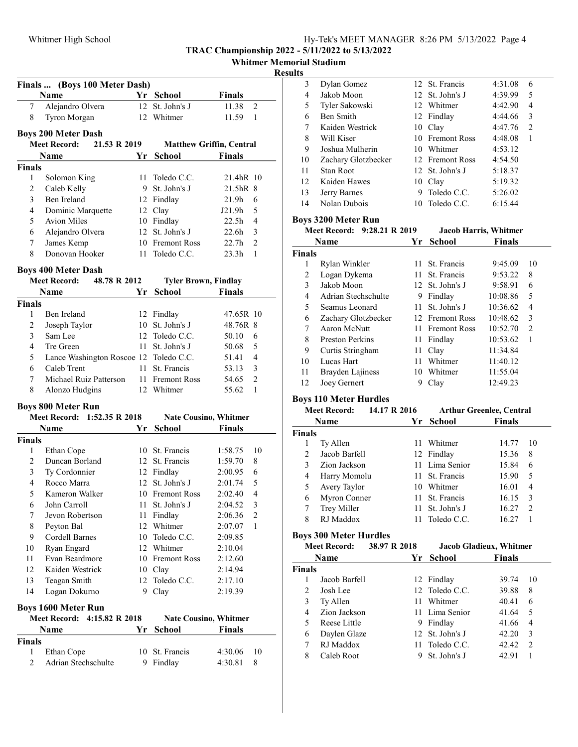| Hy-Tek's MEET MANAGER 8:26 PM 5/13/2022 Page 4 |  |  |  |
|------------------------------------------------|--|--|--|
|------------------------------------------------|--|--|--|

|  | <b>Whitmer Memorial Stadium</b> |  |
|--|---------------------------------|--|
|--|---------------------------------|--|

### Results

|                    | Name                                   |    | Yr School                       | <b>Finals</b>     |                |
|--------------------|----------------------------------------|----|---------------------------------|-------------------|----------------|
| 7                  | Alejandro Olvera                       |    | 12 St. John's J                 | 11.38             | 2              |
| 8                  | Tyron Morgan                           |    | 12 Whitmer                      | 11.59             | 1              |
|                    | <b>Boys 200 Meter Dash</b>             |    |                                 |                   |                |
|                    | <b>Meet Record:</b><br>21.53 R 2019    |    | <b>Matthew Griffin, Central</b> |                   |                |
|                    | Name                                   | Yr | <b>School</b>                   | Finals            |                |
| Finals             |                                        |    |                                 |                   |                |
| 1                  | Solomon King                           |    | 11 Toledo C.C.                  | 21.4hR 10         |                |
| 2                  | Caleb Kelly                            |    | 9 St. John's J                  | 21.5hR 8          |                |
| $\overline{3}$     | Ben Ireland                            |    | 12 Findlay                      | 21.9h             | 6              |
| $\overline{4}$     | Dominic Marquette                      |    | 12 Clay                         | J21.9h            | 5              |
| 5                  | <b>Avion Miles</b>                     |    | 10 Findlay                      | 22.5 <sub>h</sub> | $\overline{4}$ |
| 6                  | Alejandro Olvera                       |    | 12 St. John's J                 | 22.6 <sub>h</sub> | 3              |
| 7                  | James Kemp                             |    | 10 Fremont Ross                 | 22.7h             | $\overline{2}$ |
| 8                  | Donovan Hooker                         |    | 11 Toledo C.C.                  | 23.3h             | 1              |
|                    | <b>Boys 400 Meter Dash</b>             |    |                                 |                   |                |
|                    | <b>Meet Record:</b><br>48.78 R 2012    |    | <b>Tyler Brown, Findlay</b>     |                   |                |
|                    | Name                                   | Yr | School                          | <b>Finals</b>     |                |
| <b>Finals</b>      |                                        |    |                                 |                   |                |
| 1                  | Ben Ireland                            |    | 12 Findlay                      | 47.65R 10         |                |
| $\overline{c}$     | Joseph Taylor                          | 10 | St. John's J                    | 48.76R 8          |                |
| 3                  | Sam Lee                                |    | 12 Toledo C.C.                  | 50.10             | 6              |
| $\overline{4}$     | Tre Green                              |    | 11 St. John's J                 | 50.68             | 5              |
| 5                  | Lance Washington Roscoe 12 Toledo C.C. |    |                                 | 51.41             | 4              |
| 6                  | Caleb Trent                            |    | 11 St. Francis                  | 53.13             | 3              |
| 7                  | Michael Ruiz Patterson                 |    | 11 Fremont Ross                 | 54.65             | 2              |
| 8                  | Alonzo Hudgins                         |    | 12 Whitmer                      | 55.62             | 1              |
|                    | <b>Boys 800 Meter Run</b>              |    |                                 |                   |                |
|                    |                                        |    |                                 |                   |                |
|                    | Meet Record: 1:52.35 R 2018            |    | <b>Nate Cousino, Whitmer</b>    |                   |                |
|                    | Name                                   |    | Yr School                       | <b>Finals</b>     |                |
| <b>Finals</b>      |                                        |    |                                 |                   |                |
| 1                  | Ethan Cope                             |    | 10 St. Francis                  | 1:58.75           |                |
| 2                  | Duncan Borland                         |    | 12 St. Francis                  | 1:59.70           | 8              |
| 3                  | Ty Cordonnier                          |    | 12 Findlay                      | 2:00.95           | 6              |
| $\overline{4}$     | Rocco Marra                            |    | 12 St. John's J                 | 2:01.74           | 5              |
| 5                  | Kameron Walker                         |    | 10 Fremont Ross                 | 2:02.40           | $\overline{4}$ |
| 6                  | John Carroll                           |    | 11 St. John's J                 | 2:04.52           | $\mathfrak{Z}$ |
| 7                  | Jevon Robertson                        |    | 11 Findlay                      | 2:06.36           | 2              |
| 8                  | Peyton Bal                             |    | 12 Whitmer                      | 2:07.07           | 1              |
| 9                  | Cordell Barnes                         |    | 10 Toledo C.C.                  | 2:09.85           |                |
| 10                 | Ryan Engard                            |    | 12 Whitmer                      | 2:10.04           |                |
| 11                 | Evan Beardmore                         |    | 10 Fremont Ross                 | 2:12.60           |                |
| 12                 | Kaiden Westrick                        |    | 10 Clay                         | 2:14.94           |                |
| 13                 | Teagan Smith                           | 12 | Toledo C.C.                     | 2:17.10           |                |
| 14                 | Logan Dokurno                          | 9. | Clay                            | 2:19.39           | 10             |
|                    | <b>Boys 1600 Meter Run</b>             |    |                                 |                   |                |
|                    | Meet Record:<br>4:15.82 R 2018         |    | <b>Nate Cousino, Whitmer</b>    |                   |                |
|                    | Name                                   | Υr | School                          | <b>Finals</b>     |                |
|                    |                                        |    |                                 |                   |                |
| <b>Finals</b><br>1 | Ethan Cope                             | 10 | St. Francis                     | 4:30.06           | 10             |
| 2                  | Adrian Stechschulte                    | 9. | Findlay                         | 4:30.81           | 8              |

| . . |                     |                 |         |                |  |
|-----|---------------------|-----------------|---------|----------------|--|
| 3   | Dylan Gomez         | 12 St. Francis  | 4:31.08 | 6              |  |
| 4   | Jakob Moon          | 12 St. John's J | 4:39.99 | 5              |  |
| 5   | Tyler Sakowski      | 12 Whitmer      | 4:42.90 | 4              |  |
| 6   | Ben Smith           | 12 Findlay      | 4:44.66 | 3              |  |
| 7   | Kaiden Westrick     | 10 Clay         | 4:47.76 | $\overline{c}$ |  |
| 8   | Will Kiser          | 10 Fremont Ross | 4:48.08 | 1              |  |
| 9   | Joshua Mulherin     | 10 Whitmer      | 4:53.12 |                |  |
| 10  | Zachary Glotzbecker | 12 Fremont Ross | 4:54.50 |                |  |
| 11  | Stan Root           | 12 St. John's J | 5:18.37 |                |  |
| 12  | Kaiden Hawes        | 10 Clay         | 5:19.32 |                |  |
| 13  | Jerry Barnes        | 9 Toledo C.C.   | 5:26.02 |                |  |
| 14  | Nolan Dubois        | 10 Toledo C.C.  | 6:15.44 |                |  |
|     |                     |                 |         |                |  |

# Boys 3200 Meter Run

|                        |      | <b>Jacob Harris, Whitmer</b>    |                                                                                                                                   |    |
|------------------------|------|---------------------------------|-----------------------------------------------------------------------------------------------------------------------------------|----|
|                        |      | School<br><b>Finals</b><br>Yr - |                                                                                                                                   |    |
|                        |      |                                 |                                                                                                                                   |    |
| Rylan Winkler          |      |                                 | 9:45.09                                                                                                                           | 10 |
| Logan Dykema           |      |                                 | 9:53.22                                                                                                                           | 8  |
| Jakob Moon             |      |                                 | 9:58.91                                                                                                                           | 6  |
| Adrian Stechschulte    | 9    | Findlay                         | 10:08.86                                                                                                                          | 5  |
| Seamus Leonard         |      | St. John's J                    | 10:36.62                                                                                                                          | 4  |
| Zachary Glotzbecker    |      |                                 | 10:48.62                                                                                                                          | 3  |
| Aaron McNutt           |      |                                 | 10:52.70                                                                                                                          | 2  |
| <b>Preston Perkins</b> | 11   |                                 | 10:53.62                                                                                                                          | 1  |
| Curtis Stringham       |      |                                 | 11:34.84                                                                                                                          |    |
| Lucas Hart             | 11   | Whitmer                         | 11:40.12                                                                                                                          |    |
| Brayden Lajiness       | 10   |                                 | 11:55.04                                                                                                                          |    |
| Joey Gernert           |      | Clay                            | 12:49.23                                                                                                                          |    |
|                        | Name | Meet Record: 9:28.21 R 2019     | 11 St. Francis<br>11 St. Francis<br>12 St. John's J<br>11.<br>12 Fremont Ross<br>11 Fremont Ross<br>Findlay<br>11 Clay<br>Whitmer |    |

# Boys 110 Meter Hurdles

| <b>Meet Record:</b> |               | 14.17 R 2016 | <b>Arthur Greenlee, Central</b> |               |    |
|---------------------|---------------|--------------|---------------------------------|---------------|----|
|                     | Name          | Yr -         | <b>School</b>                   | <b>Finals</b> |    |
| <b>Finals</b>       |               |              |                                 |               |    |
|                     | Ty Allen      |              | 11 Whitmer                      | 14.77         | 10 |
| $\mathfrak{D}$      | Jacob Barfell |              | 12 Findlay                      | 15.36         | 8  |
| 3                   | Zion Jackson  |              | 11 Lima Senior                  | 15.84         | 6  |
| 4                   | Harry Momolu  |              | 11 St. Francis                  | 15.90         | 5  |
| 5                   | Avery Taylor  |              | 10 Whitmer                      | 16.01         | 4  |
| 6                   | Myron Conner  |              | 11 St. Francis                  | 16.15         | 3  |
| 7                   | Trey Miller   | 11.          | St. John's J                    | 16.27         | 2  |
| 8                   | RJ Maddox     | 11           | Toledo C.C.                     | 16.27         |    |

# Boys 300 Meter Hurdles

| <b>Meet Record:</b> |               | 38.97 R 2018          |               |                                                                                                                              |                                |
|---------------------|---------------|-----------------------|---------------|------------------------------------------------------------------------------------------------------------------------------|--------------------------------|
|                     |               | Yr.                   | <b>School</b> | <b>Finals</b>                                                                                                                |                                |
|                     |               |                       |               |                                                                                                                              |                                |
|                     | Jacob Barfell |                       |               | 39.74                                                                                                                        | 10                             |
| 2                   | Josh Lee      |                       |               | 39.88                                                                                                                        | 8                              |
| 3                   | Ty Allen      |                       |               | 40.41                                                                                                                        | 6                              |
| 4                   | Zion Jackson  |                       |               | 41.64                                                                                                                        | 5                              |
| 5                   | Reese Little  | 9.                    |               | 41.66                                                                                                                        | 4                              |
| 6                   |               |                       |               | 42.20                                                                                                                        | 3                              |
|                     | RJ Maddox     |                       |               | 42.42                                                                                                                        | 2                              |
| 8                   | Caleb Root    | 9                     |               | 42.91                                                                                                                        |                                |
|                     |               | <b>Name</b><br>Finals | Daylen Glaze  | 12 Findlay<br>12 Toledo C.C.<br>11 Whitmer<br>11 Lima Senior<br>Findlay<br>12 St. John's J<br>11 Toledo C.C.<br>St. John's J | <b>Jacob Gladieux, Whitmer</b> |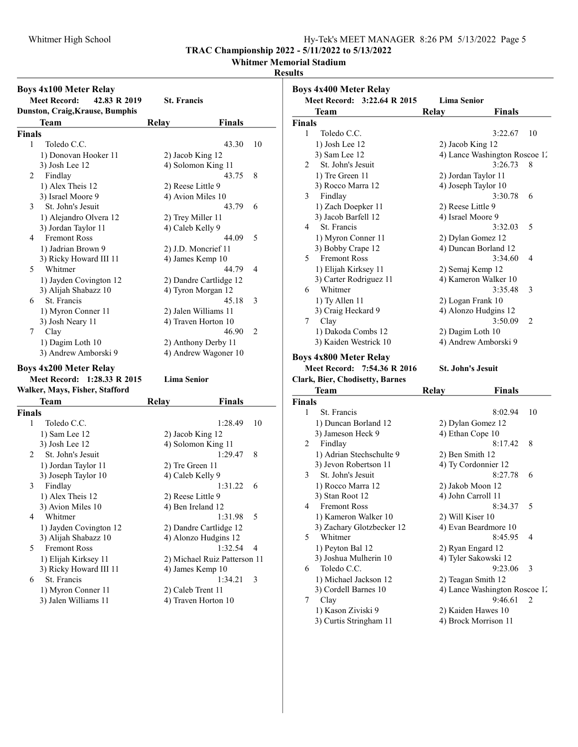# Whitmer High School Hy-Tek's MEET MANAGER 8:26 PM 5/13/2022 Page 5

TRAC Championship 2022 - 5/11/2022 to 5/13/2022

Whitmer Memorial Stadium

### Results

|                                     | <b>Boys 4x100 Meter Relay</b>              |                |                              |    |  |
|-------------------------------------|--------------------------------------------|----------------|------------------------------|----|--|
| <b>Meet Record:</b><br>42.83 R 2019 |                                            |                | <b>St. Francis</b>           |    |  |
|                                     | Dunston, Craig, Krause, Bumphis            |                |                              |    |  |
|                                     | Team                                       | Relay          | <b>Finals</b>                |    |  |
| <b>Finals</b>                       |                                            |                |                              |    |  |
| 1                                   | Toledo C.C.                                |                | 43.30                        | 10 |  |
|                                     | 1) Donovan Hooker 11                       |                | 2) Jacob King 12             |    |  |
|                                     | 3) Josh Lee 12                             |                | 4) Solomon King 11           |    |  |
| 2                                   | Findlay                                    |                | 43.75                        | 8  |  |
|                                     | 1) Alex Theis 12                           |                | 2) Reese Little 9            |    |  |
|                                     | 3) Israel Moore 9                          |                | 4) Avion Miles 10            |    |  |
| 3                                   | St. John's Jesuit                          |                | 43.79                        | 6  |  |
|                                     |                                            |                |                              |    |  |
|                                     | 1) Alejandro Olvera 12                     |                | 2) Trey Miller 11            |    |  |
| 4                                   | 3) Jordan Taylor 11<br><b>Fremont Ross</b> |                | 4) Caleb Kelly 9             |    |  |
|                                     |                                            |                | 44.09                        | 5  |  |
|                                     | 1) Jadrian Brown 9                         |                | 2) J.D. Moncrief 11          |    |  |
|                                     | 3) Ricky Howard III 11                     |                | 4) James Kemp 10             |    |  |
| 5                                   | Whitmer                                    |                | 44.79                        | 4  |  |
|                                     | 1) Jayden Covington 12                     |                | 2) Dandre Cartlidge 12       |    |  |
|                                     | 3) Alijah Shabazz 10                       |                | 4) Tyron Morgan 12           |    |  |
| 6                                   | St. Francis                                |                | 45.18                        | 3  |  |
|                                     | 1) Myron Conner 11                         |                | 2) Jalen Williams 11         |    |  |
|                                     | 3) Josh Neary 11                           |                | 4) Traven Horton 10          |    |  |
| 7                                   | Clay                                       |                | 46.90                        | 2  |  |
|                                     | 1) Dagim Loth 10                           |                | 2) Anthony Derby 11          |    |  |
|                                     | 3) Andrew Amborski 9                       |                | 4) Andrew Wagoner 10         |    |  |
|                                     | <b>Boys 4x200 Meter Relay</b>              |                |                              |    |  |
|                                     | <b>Meet Record:</b>                        | 1:28.33 R 2015 | <b>Lima Senior</b>           |    |  |
|                                     | Walker, Mays, Fisher, Stafford             |                |                              |    |  |
|                                     | Team                                       | <b>Relay</b>   | <b>Finals</b>                |    |  |
| <b>Finals</b>                       |                                            |                |                              |    |  |
| 1                                   | Toledo C.C.                                |                | 1:28.49                      | 10 |  |
|                                     |                                            |                |                              |    |  |
|                                     | 1) Sam Lee 12                              |                | 2) Jacob King 12             |    |  |
|                                     | 3) Josh Lee 12                             |                | 4) Solomon King 11           |    |  |
| 2                                   | St. John's Jesuit                          |                | 1:29.47                      | 8  |  |
|                                     | 1) Jordan Taylor 11                        |                | 2) Tre Green 11              |    |  |
|                                     | 3) Joseph Taylor 10                        |                | 4) Caleb Kelly 9             |    |  |
| 3                                   | Findlay                                    |                | 1:31.22                      | 6  |  |
|                                     | 1) Alex Theis 12                           |                | 2) Reese Little 9            |    |  |
|                                     | 3) Avion Miles 10                          |                | 4) Ben Ireland 12            |    |  |
| 4                                   | Whitmer                                    |                | 1:31.98                      | 5  |  |
|                                     | 1) Jayden Covington 12                     |                | 2) Dandre Cartlidge 12       |    |  |
|                                     | 3) Alijah Shabazz 10                       |                | 4) Alonzo Hudgins 12         |    |  |
| 5                                   | Fremont Ross                               |                | 1:32.54                      | 4  |  |
|                                     | 1) Elijah Kirksey 11                       |                | 2) Michael Ruiz Patterson 11 |    |  |
|                                     | 3) Ricky Howard III 11                     |                | 4) James Kemp 10             |    |  |
| 6                                   | St. Francis                                |                | 1:34.21                      | 3  |  |
|                                     | 1) Myron Conner 11                         |                | 2) Caleb Trent 11            |    |  |
|                                     | 3) Jalen Williams 11                       |                | 4) Traven Horton 10          |    |  |

|               | <b>Boys 4x400 Meter Relay</b>            |                                           |               |    |
|---------------|------------------------------------------|-------------------------------------------|---------------|----|
|               | Meet Record: 3:22.64 R 2015              | <b>Lima Senior</b>                        |               |    |
|               | Team                                     | Relay                                     | Finals        |    |
| <b>Finals</b> |                                          |                                           |               |    |
| 1             | Toledo C.C.                              |                                           | 3:22.67       | 10 |
|               | 1) Josh Lee 12                           | 2) Jacob King 12                          |               |    |
|               | 3) Sam Lee 12                            | 4) Lance Washington Roscoe 12             |               |    |
| 2             | St. John's Jesuit                        |                                           | 3:26.73       | 8  |
|               | 1) Tre Green 11                          | 2) Jordan Taylor 11                       |               |    |
|               | 3) Rocco Marra 12                        | 4) Joseph Taylor 10                       |               |    |
| 3             | Findlay                                  |                                           | 3:30.78       | 6  |
|               | 1) Zach Doepker 11                       | 2) Reese Little 9                         |               |    |
|               | 3) Jacob Barfell 12                      | 4) Israel Moore 9                         |               |    |
| 4             | St. Francis                              |                                           | 3:32.03       | 5  |
|               |                                          |                                           |               |    |
|               | 1) Myron Conner 11                       | 2) Dylan Gomez 12<br>4) Duncan Borland 12 |               |    |
| 5             | 3) Bobby Crape 12<br><b>Fremont Ross</b> |                                           | 3:34.60       |    |
|               |                                          |                                           |               | 4  |
|               | 1) Elijah Kirksey 11                     | 2) Semaj Kemp 12                          |               |    |
|               | 3) Carter Rodriguez 11                   | 4) Kameron Walker 10                      |               |    |
| 6             | Whitmer                                  |                                           | 3:35.48       | 3  |
|               | 1) Ty Allen 11                           | 2) Logan Frank 10                         |               |    |
|               | 3) Craig Heckard 9                       | 4) Alonzo Hudgins 12                      |               |    |
| 7             | Clay                                     |                                           | 3:50.09       | 2  |
|               | 1) Dakoda Combs 12                       | 2) Dagim Loth 10                          |               |    |
|               | 3) Kaiden Westrick 10                    | 4) Andrew Amborski 9                      |               |    |
|               | <b>Boys 4x800 Meter Relay</b>            |                                           |               |    |
|               | <b>Meet Record:</b><br>7:54.36 R 2016    | St. John's Jesuit                         |               |    |
|               | <b>Clark, Bier, Chodisetty, Barnes</b>   |                                           |               |    |
|               | Team                                     | <b>Relay</b>                              | <b>Finals</b> |    |
| <b>Finals</b> |                                          |                                           |               |    |
| 1             | St. Francis                              |                                           | 8:02.94       | 10 |
|               | 1) Duncan Borland 12                     | 2) Dylan Gomez 12                         |               |    |
|               | 3) Jameson Heck 9                        | 4) Ethan Cope 10                          |               |    |
| 2             | Findlay                                  |                                           | 8:17.42       | 8  |
|               | 1) Adrian Stechschulte 9                 | 2) Ben Smith 12                           |               |    |
|               | 3) Jevon Robertson 11                    | 4) Ty Cordonnier 12                       |               |    |
| 3             | St. John's Jesuit                        |                                           | 8:27.78       | 6  |
|               | 1) Rocco Marra 12                        | 2) Jakob Moon 12                          |               |    |
|               | 3) Stan Root 12                          | 4) John Carroll 11                        |               |    |
|               | 4 Fremont Ross                           |                                           | 8:34.37       | 5  |
|               | 1) Kameron Walker 10                     | 2) Will Kiser 10                          |               |    |
|               | 3) Zachary Glotzbecker 12                | 4) Evan Beardmore 10                      |               |    |
| 5             | Whitmer                                  |                                           | 8:45.95       | 4  |
|               | 1) Peyton Bal 12                         | 2) Ryan Engard 12                         |               |    |
|               | 3) Joshua Mulherin 10                    | 4) Tyler Sakowski 12                      |               |    |
| 6             | Toledo C.C.                              |                                           | 9:23.06       | 3  |
|               | 1) Michael Jackson 12                    | 2) Teagan Smith 12                        |               |    |
|               | 3) Cordell Barnes 10                     | 4) Lance Washington Roscoe 12             |               |    |
| 7             | Clay                                     |                                           | 9:46.61       | 2  |
|               |                                          |                                           |               |    |

1) Kason Ziviski 9 2) Kaiden Hawes 10<br>3) Curtis Stringham 11 4) Brock Morrison 11 3) Curtis Stringham 11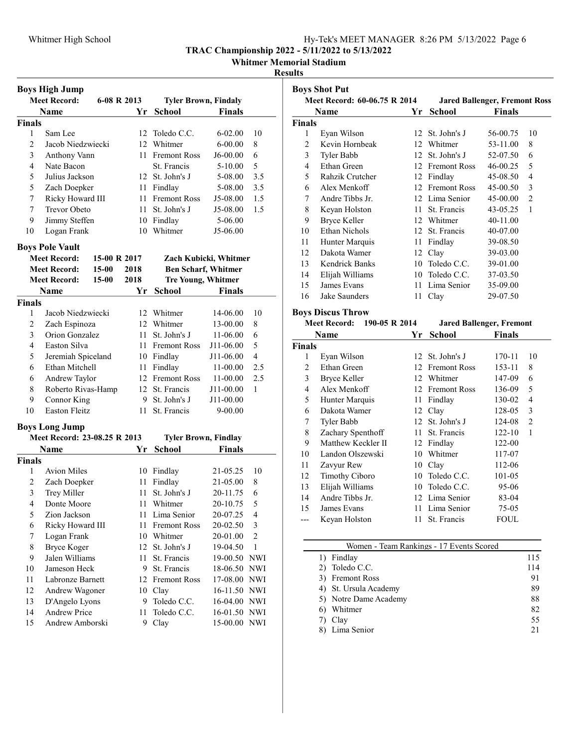# Whitmer High School **Hy-Tek's MEET MANAGER** 8:26 PM 5/13/2022 Page 6

TRAC Championship 2022 - 5/11/2022 to 5/13/2022

Whitmer Memorial Stadium

## Results

|                                    | <b>Boys High Jump</b>        |              |                             |                             |                       |                |
|------------------------------------|------------------------------|--------------|-----------------------------|-----------------------------|-----------------------|----------------|
| <b>Meet Record:</b><br>6-08 R 2013 |                              |              | <b>Tyler Brown, Findaly</b> |                             |                       |                |
|                                    | <b>Name</b>                  |              | Yr                          | <b>School</b>               | <b>Finals</b>         |                |
| <b>Finals</b>                      |                              |              |                             |                             |                       |                |
| 1                                  | Sam Lee                      |              | 12                          | Toledo C.C.                 | $6 - 02.00$           | 10             |
| 2                                  | Jacob Niedzwiecki            |              |                             | 12 Whitmer                  | $6 - 00.00$           | 8              |
| 3                                  | Anthony Vann                 |              | 11                          | <b>Fremont Ross</b>         | J6-00.00              | 6              |
| 4                                  | Nate Bacon                   |              |                             | St. Francis                 | 5-10.00               | 5              |
| 5                                  | Julius Jackson               |              |                             | 12 St. John's J             | 5-08.00               | 3.5            |
| 5                                  | Zach Doepker                 |              |                             | 11 Findlay                  | 5-08.00               | 3.5            |
| 7                                  | Ricky Howard III             |              |                             | 11 Fremont Ross             | J5-08.00              | 1.5            |
| 7                                  | <b>Trevor Obeto</b>          |              | $11 -$                      | St. John's J                | J5-08.00              | 1.5            |
| 9                                  | Jimmy Steffen                |              |                             | 10 Findlay                  | 5-06.00               |                |
| 10                                 | Logan Frank                  |              | 10                          | Whitmer                     | J5-06.00              |                |
|                                    | <b>Boys Pole Vault</b>       |              |                             |                             |                       |                |
|                                    | <b>Meet Record:</b>          | 15-00 R 2017 |                             |                             | Zach Kubicki, Whitmer |                |
|                                    | <b>Meet Record:</b>          | $15 - 00$    | 2018                        | <b>Ben Scharf, Whitmer</b>  |                       |                |
|                                    | <b>Meet Record:</b>          | 15-00        | 2018                        | <b>Tre Young, Whitmer</b>   |                       |                |
|                                    | Name                         |              | Yr                          | <b>School</b>               | <b>Finals</b>         |                |
| <b>Finals</b>                      |                              |              |                             |                             |                       |                |
| 1                                  | Jacob Niedzwiecki            |              |                             | 12 Whitmer                  | 14-06.00              | 10             |
| $\overline{c}$                     | Zach Espinoza                |              |                             | 12 Whitmer                  | 13-00.00              | 8              |
| 3                                  | Orion Gonzalez               |              | 11 -                        | St. John's J                | 11-06.00              | 6              |
| 4                                  | Easton Silva                 |              | 11 -                        | <b>Fremont Ross</b>         | J11-06.00             | 5              |
| 5                                  | Jeremiah Spiceland           |              |                             | 10 Findlay                  | J11-06.00             | $\overline{4}$ |
| 6                                  | Ethan Mitchell               |              | 11                          | Findlay                     | 11-00.00              | 2.5            |
| 6                                  | Andrew Taylor                |              |                             | 12 Fremont Ross             | 11-00.00              | 2.5            |
| 8                                  | Roberto Rivas-Hamp           |              |                             | 12 St. Francis              | J11-00.00             | 1              |
| 9                                  | Connor King                  |              |                             | 9 St. John's J              | J11-00.00             |                |
| 10                                 | Easton Fleitz                |              | 11                          | St. Francis                 | 9-00.00               |                |
|                                    | <b>Boys Long Jump</b>        |              |                             |                             |                       |                |
|                                    | Meet Record: 23-08.25 R 2013 |              |                             | <b>Tyler Brown, Findlay</b> |                       |                |
|                                    | Name                         |              | Yr                          | <b>School</b>               | <b>Finals</b>         |                |
| <b>Finals</b>                      |                              |              |                             |                             |                       |                |
| 1                                  | <b>Avion Miles</b>           |              | 10                          | Findlay                     | 21-05.25              | 10             |
| 2                                  | Zach Doepker                 |              | 11                          | Findlay                     | 21-05.00              | 8              |
| 3                                  | Trey Miller                  |              | 11                          | St. John's J                | 20-11.75              | 6              |
| 4                                  | Donte Moore                  |              | 11                          | Whitmer                     | 20-10.75              | 5              |
| 5                                  | Zion Jackson                 |              | 11                          | Lima Senior                 | 20-07.25              | 4              |
| 6                                  | Ricky Howard III             |              | 11                          | <b>Fremont Ross</b>         | 20-02.50              | 3              |
| 7                                  | Logan Frank                  |              |                             | 10 Whitmer                  | 20-01.00              | $\overline{c}$ |
| 8                                  | <b>Bryce Koger</b>           |              | 12                          | St. John's J                | 19-04.50              | $\,1$          |
| 9                                  | Jalen Williams               |              | 11                          | St. Francis                 | 19-00.50              | <b>NWI</b>     |
| 10                                 | Jameson Heck                 |              | 9                           | St. Francis                 | 18-06.50              | NWI            |
| 11                                 | Labronze Barnett             |              | 12                          | <b>Fremont Ross</b>         | 17-08.00              | NWI            |
| 12                                 | Andrew Wagoner               |              | 10                          | Clay                        | 16-11.50              | NWI            |
| 13                                 | D'Angelo Lyons               |              | 9                           | Toledo C.C.                 | 16-04.00              | <b>NWI</b>     |
| 14                                 | Andrew Price                 |              | 11                          | Toledo C.C.                 | 16-01.50              | NWI            |
| 15                                 | Andrew Amborski              |              | 9                           | Clay                        | 15-00.00              | <b>NWI</b>     |

|                         | <b>Boys Shot Put</b>                 |        |                 |                                      |                |
|-------------------------|--------------------------------------|--------|-----------------|--------------------------------------|----------------|
|                         | Meet Record: 60-06.75 R 2014         |        |                 | <b>Jared Ballenger, Fremont Ross</b> |                |
|                         | Name                                 | Yr     | <b>School</b>   | <b>Finals</b>                        |                |
| Finals                  |                                      |        |                 |                                      |                |
| 1                       | Eyan Wilson                          | 12     | St. John's J    | 56-00.75                             | 10             |
| $\overline{c}$          | Kevin Hornbeak                       |        | 12 Whitmer      | 53-11.00                             | 8              |
| 3                       | Tyler Babb                           |        | 12 St. John's J | 52-07.50                             | 6              |
| $\overline{4}$          | Ethan Green                          |        | 12 Fremont Ross | 46-00.25                             | 5              |
| 5                       | Rahzik Crutcher                      |        | 12 Findlay      | 45-08.50                             | $\overline{4}$ |
| 6                       | Alex Menkoff                         |        | 12 Fremont Ross | 45-00.50                             | 3              |
| 7                       | Andre Tibbs Jr.                      |        | 12 Lima Senior  | 45-00.00                             | $\overline{2}$ |
| 8                       | Keyan Holston                        |        | 11 St. Francis  | 43-05.25                             | 1              |
| 9                       | <b>Bryce Keller</b>                  |        | 12 Whitmer      | 40-11.00                             |                |
| 10                      | <b>Ethan Nichols</b>                 |        | 12 St. Francis  | 40-07.00                             |                |
| 11                      | Hunter Marquis                       |        | 11 Findlay      | 39-08.50                             |                |
| 12                      | Dakota Wamer                         |        | 12 Clay         | 39-03.00                             |                |
| 13                      | Kendrick Banks                       |        | 10 Toledo C.C.  | 39-01.00                             |                |
| 14                      | Elijah Williams                      |        | 10 Toledo C.C.  | 37-03.50                             |                |
| 15                      | James Evans                          | 11     | Lima Senior     | 35-09.00                             |                |
| 16                      | Jake Saunders                        | 11     | Clay            | 29-07.50                             |                |
|                         | <b>Boys Discus Throw</b>             |        |                 |                                      |                |
|                         | <b>Meet Record:</b><br>190-05 R 2014 |        |                 | <b>Jared Ballenger, Fremont</b>      |                |
|                         | Name                                 | Yr     | <b>School</b>   | <b>Finals</b>                        |                |
| Finals                  |                                      |        |                 |                                      |                |
| 1                       | Eyan Wilson                          | 12     | St. John's J    | 170-11                               | 10             |
| $\overline{c}$          | Ethan Green                          |        | 12 Fremont Ross | 153-11                               | 8              |
| 3                       | <b>Bryce Keller</b>                  |        | 12 Whitmer      | 147-09                               | 6              |
| $\overline{\mathbf{4}}$ | Alex Menkoff                         |        | 12 Fremont Ross | 136-09                               | 5              |
| 5                       | Hunter Marquis                       |        | 11 Findlay      | 130-02                               | $\overline{4}$ |
| 6                       | Dakota Wamer                         |        | 12 Clay         | 128-05                               | 3              |
| $\boldsymbol{7}$        | Tyler Babb                           | 12     | St. John's J    | 124-08                               | $\overline{c}$ |
| 8                       | Zachary Spenthoff                    | $11 -$ | St. Francis     | 122-10                               | 1              |
| 9                       | Matthew Keckler II                   |        | 12 Findlay      | 122-00                               |                |
| 10                      | Landon Olszewski                     |        | 10 Whitmer      | 117-07                               |                |
| 11                      | Zavyur Rew                           |        | 10 Clay         | 112-06                               |                |
| 12                      | <b>Timothy Ciboro</b>                |        | 10 Toledo C.C.  | 101-05                               |                |
| 13                      | Elijah Williams                      |        | 10 Toledo C.C.  | 95-06                                |                |
| 14                      | Andre Tibbs Jr.                      |        | 12 Lima Senior  | 83-04                                |                |
| 15                      | James Evans                          | 11     | Lima Senior     | 75-05                                |                |
| ---                     | Keyan Holston                        | 11     | St. Francis     | <b>FOUL</b>                          |                |

| Women - Team Rankings - 17 Events Scored |     |
|------------------------------------------|-----|
| 1) Findlay                               | 115 |
| 2) Toledo C.C.                           | 114 |
| 3) Fremont Ross                          | 91  |
| 4) St. Ursula Academy                    | 89  |
| 5) Notre Dame Academy                    | 88  |
| Whitmer                                  | 82  |
| 7) Clay                                  | 55  |
| 8) Lima Senior                           | 21  |